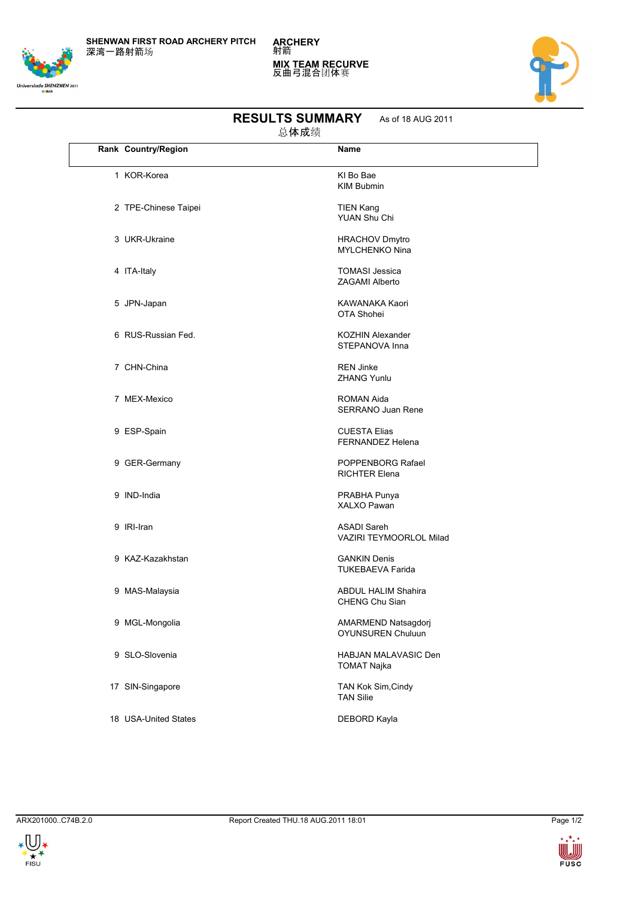**SHENWAN FIRST ROAD ARCHERY PITCH** 深湾一路射箭场



**ARCHERY** 射箭 **MIX TEAM RECURVE** 反曲弓混合团体赛



| 总体成绩 |                      |                                                |  |  |
|------|----------------------|------------------------------------------------|--|--|
|      | Rank Country/Region  | Name                                           |  |  |
|      | 1 KOR-Korea          | KI Bo Bae<br><b>KIM Bubmin</b>                 |  |  |
|      | 2 TPE-Chinese Taipei | <b>TIEN Kang</b><br>YUAN Shu Chi               |  |  |
|      | 3 UKR-Ukraine        | <b>HRACHOV Dmytro</b><br><b>MYLCHENKO Nina</b> |  |  |
|      | 4 ITA-Italy          | <b>TOMASI Jessica</b><br>ZAGAMI Alberto        |  |  |
|      | 5 JPN-Japan          | KAWANAKA Kaori<br>OTA Shohei                   |  |  |
|      | 6 RUS-Russian Fed.   | <b>KOZHIN Alexander</b><br>STEPANOVA Inna      |  |  |
|      | 7 CHN-China          | <b>REN Jinke</b><br><b>ZHANG Yunlu</b>         |  |  |
|      | 7 MEX-Mexico         | ROMAN Aida<br>SERRANO Juan Rene                |  |  |
|      | 9 ESP-Spain          | <b>CUESTA Elias</b><br><b>FERNANDEZ Helena</b> |  |  |
|      | 9 GER-Germany        | POPPENBORG Rafael<br><b>RICHTER Elena</b>      |  |  |
|      | 9 IND-India          | PRABHA Punya<br><b>XALXO Pawan</b>             |  |  |
|      | 9 IRI-Iran           | <b>ASADI Sareh</b><br>VAZIRI TEYMOORLOL Milad  |  |  |
|      | 9 KAZ-Kazakhstan     | <b>GANKIN Denis</b><br><b>TUKEBAEVA Farida</b> |  |  |
|      | 9 MAS-Malaysia       | <b>ABDUL HALIM Shahira</b><br>CHENG Chu Sian   |  |  |
|      | 9 MGL-Mongolia       | AMARMEND Natsagdorj<br>OYUNSUREN Chuluun       |  |  |
|      | 9 SLO-Slovenia       | HABJAN MALAVASIC Den<br><b>TOMAT Najka</b>     |  |  |
|      | 17 SIN-Singapore     | TAN Kok Sim, Cindy<br><b>TAN Silie</b>         |  |  |
|      | 18 USA-United States | DEBORD Kayla                                   |  |  |

## **RESULTS SUMMARY** As of 18 AUG 2011